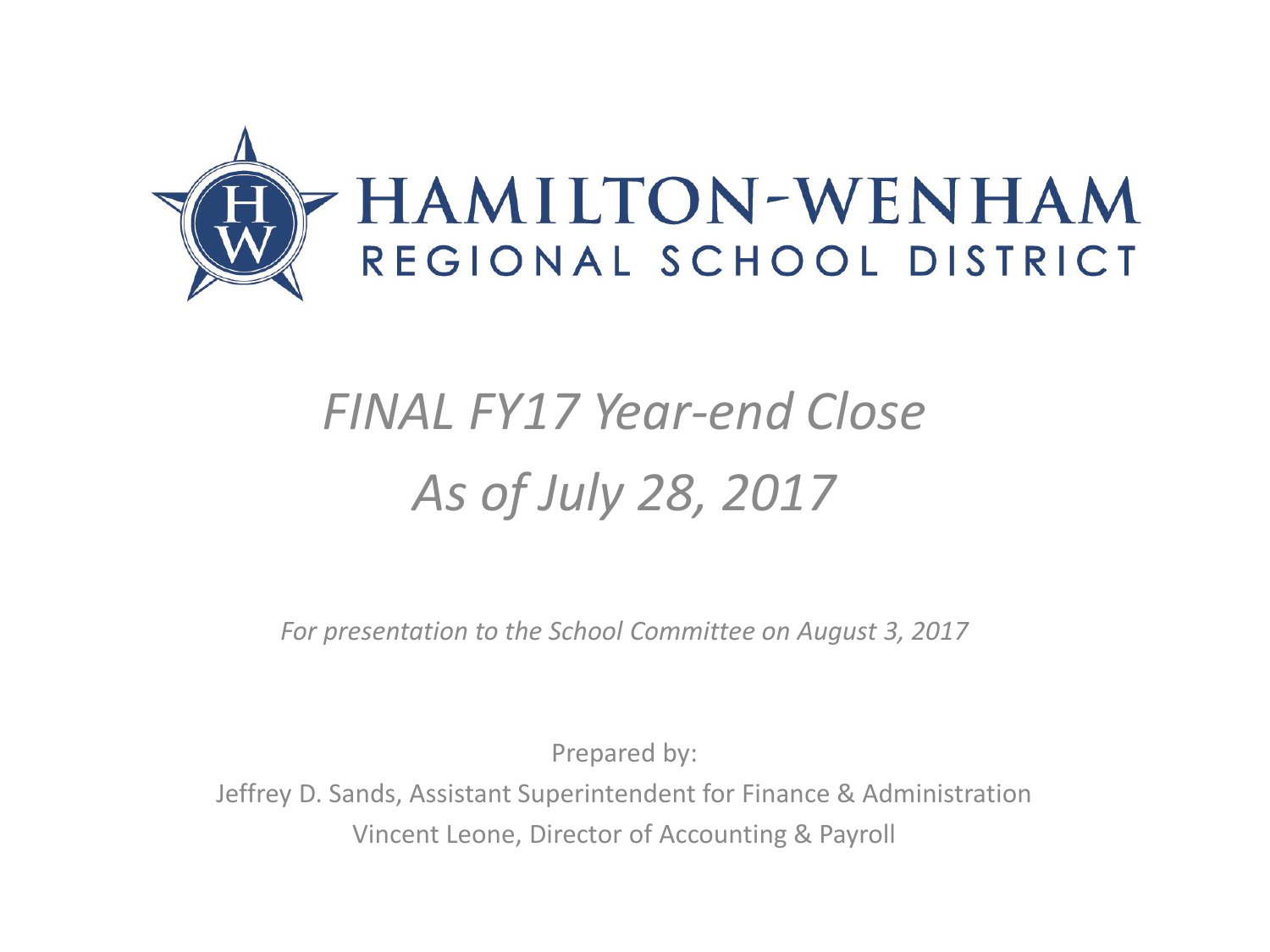

# *FINAL FY17 Year-end Close As of July 28, 2017*

*For presentation to the School Committee on August 3, 2017*

Prepared by:

Jeffrey D. Sands, Assistant Superintendent for Finance & Administration Vincent Leone, Director of Accounting & Payroll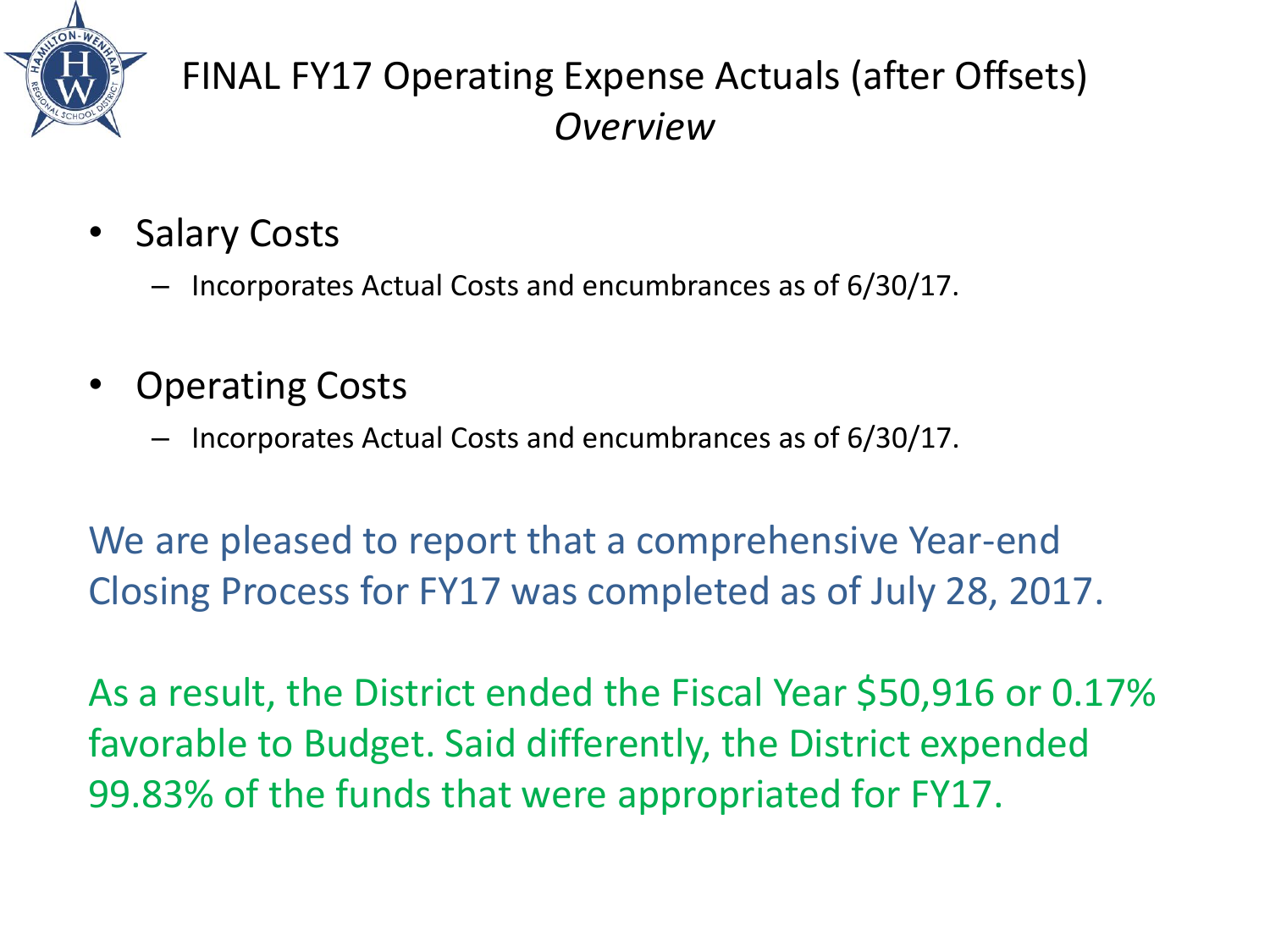

## FINAL FY17 Operating Expense Actuals (after Offsets) *Overview*

- Salary Costs
	- Incorporates Actual Costs and encumbrances as of 6/30/17.
- Operating Costs
	- Incorporates Actual Costs and encumbrances as of 6/30/17.

We are pleased to report that a comprehensive Year-end Closing Process for FY17 was completed as of July 28, 2017.

As a result, the District ended the Fiscal Year \$50,916 or 0.17% favorable to Budget. Said differently, the District expended 99.83% of the funds that were appropriated for FY17.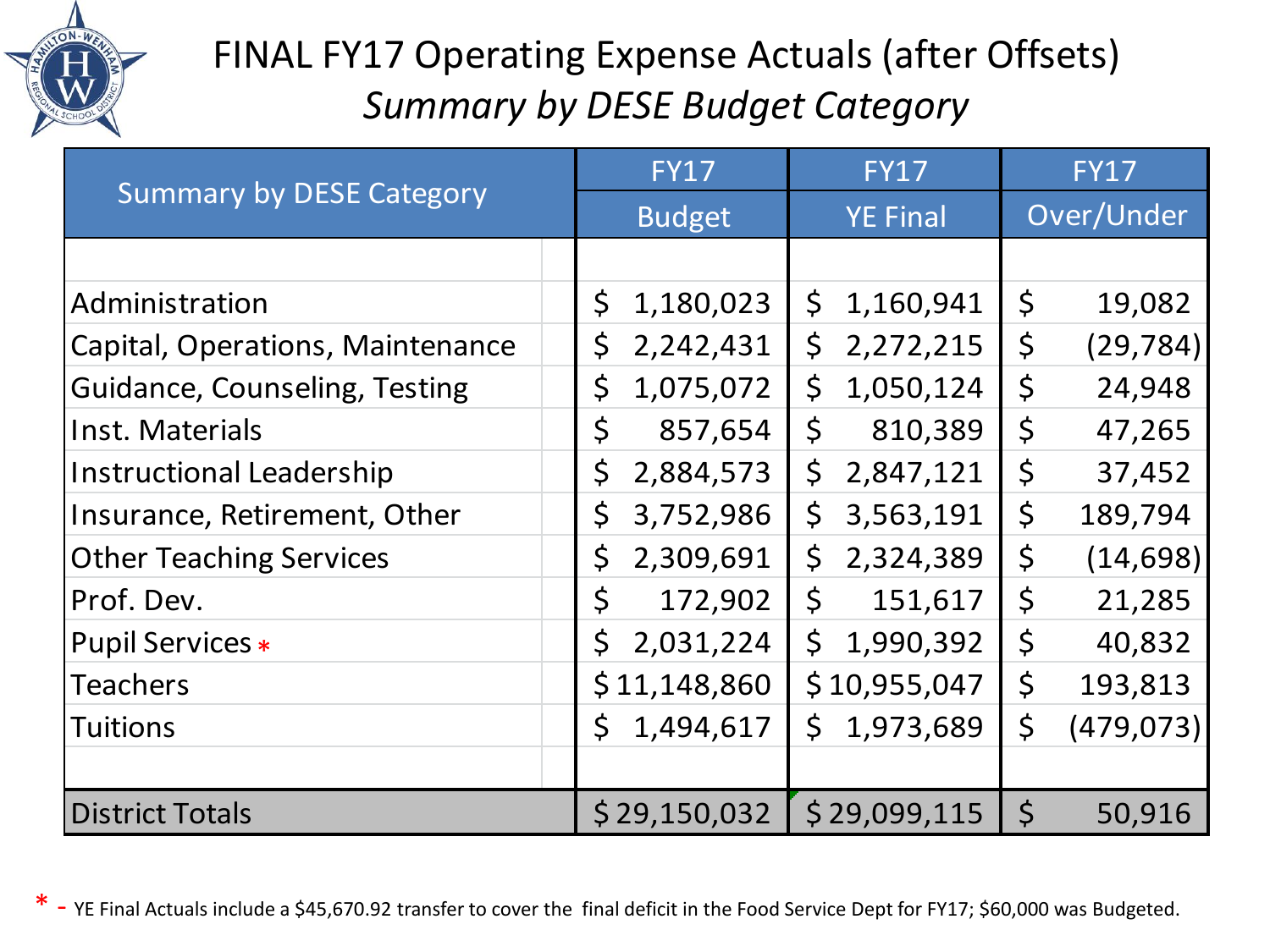

## FINAL FY17 Operating Expense Actuals (after Offsets) *Summary by DESE Budget Category*

| <b>Summary by DESE Category</b>      | <b>FY17</b>   | <b>FY17</b>     | FY17                   |
|--------------------------------------|---------------|-----------------|------------------------|
|                                      | <b>Budget</b> | <b>YE Final</b> | Over/Under             |
|                                      |               |                 |                        |
| Administration                       | $\zeta$       | 1,160,941       | $\zeta$                |
|                                      | 1,180,023     | $\zeta$         | 19,082                 |
| Capital, Operations, Maintenance     | $\zeta$       | \$              | $\varsigma$            |
|                                      | 2,242,431     | 2,272,215       | (29, 784)              |
| <b>Guidance, Counseling, Testing</b> | \$            | \$              | $\varsigma$            |
|                                      | 1,075,072     | 1,050,124       | 24,948                 |
| Inst. Materials                      | \$            | $\zeta$         | $\varsigma$            |
|                                      | 857,654       | 810,389         | 47,265                 |
| <b>Instructional Leadership</b>      | \$            | \$              | $\varsigma$            |
|                                      | 2,884,573     | 2,847,121       | 37,452                 |
| Insurance, Retirement, Other         | \$            | $\zeta$         | $\varsigma$            |
|                                      | 3,752,986     | 3,563,191       | 189,794                |
| <b>Other Teaching Services</b>       | \$            | \$              | $\varsigma$            |
|                                      | 2,309,691     | 2,324,389       | (14, 698)              |
| Prof. Dev.                           | \$            | $\mathsf{S}$    | $\varsigma$            |
|                                      | 172,902       | 151,617         | 21,285                 |
| <b>Pupil Services *</b>              | $\zeta$       | $\mathsf{S}$    | $\varsigma$            |
|                                      | 2,031,224     | 1,990,392       | 40,832                 |
| <b>Teachers</b>                      | \$11,148,860  | \$10,955,047    | $\varsigma$<br>193,813 |
| <b>Tuitions</b>                      | $\mathsf{S}$  | Ś.              | $\varsigma$            |
|                                      | 1,494,617     | 1,973,689       | (479, 073)             |
|                                      |               |                 |                        |
| <b>District Totals</b>               | \$29,150,032  | \$29,099,115    | $\varsigma$<br>50,916  |

\* - YE Final Actuals include a \$45,670.92 transfer to cover the final deficit in the Food Service Dept for FY17; \$60,000 was Budgeted.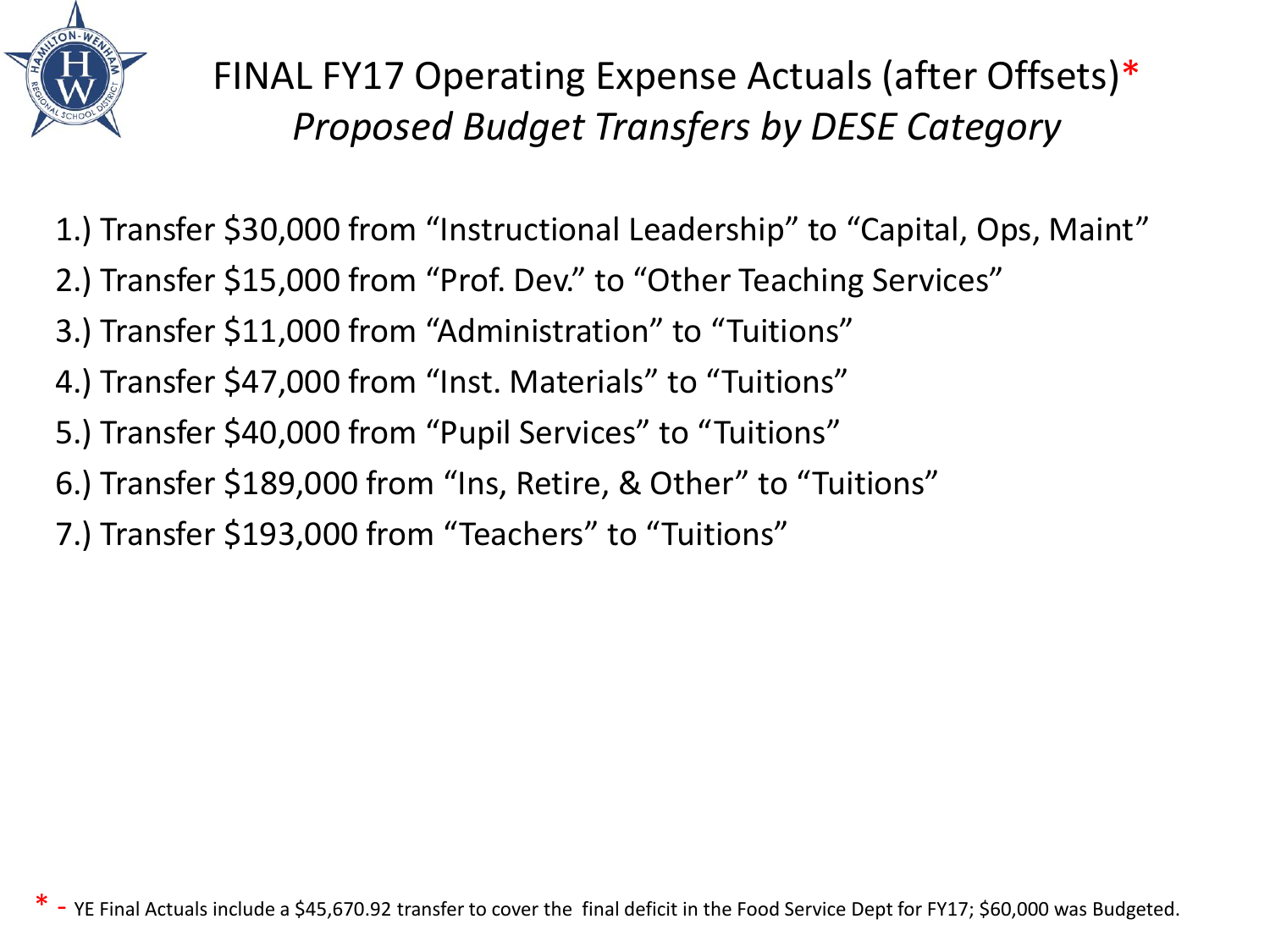

FINAL FY17 Operating Expense Actuals (after Offsets)\* *Proposed Budget Transfers by DESE Category*

- 1.) Transfer \$30,000 from "Instructional Leadership" to "Capital, Ops, Maint"
- 2.) Transfer \$15,000 from "Prof. Dev." to "Other Teaching Services"
- 3.) Transfer \$11,000 from "Administration" to "Tuitions"
- 4.) Transfer \$47,000 from "Inst. Materials" to "Tuitions"
- 5.) Transfer \$40,000 from "Pupil Services" to "Tuitions"
- 6.) Transfer \$189,000 from "Ins, Retire, & Other" to "Tuitions"
- 7.) Transfer \$193,000 from "Teachers" to "Tuitions"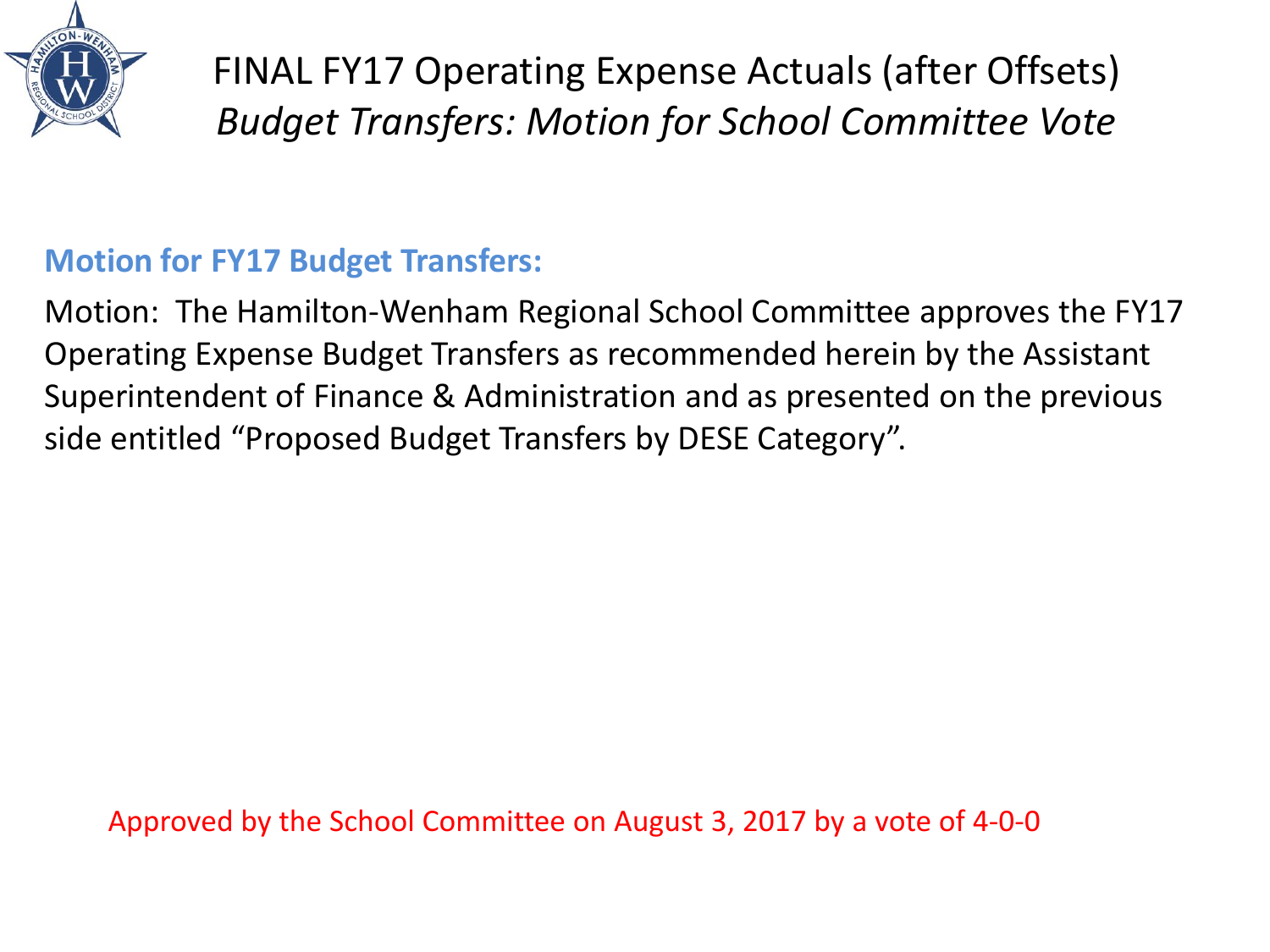

FINAL FY17 Operating Expense Actuals (after Offsets) *Budget Transfers: Motion for School Committee Vote*

#### **Motion for FY17 Budget Transfers:**

Motion: The Hamilton-Wenham Regional School Committee approves the FY17 Operating Expense Budget Transfers as recommended herein by the Assistant Superintendent of Finance & Administration and as presented on the previous side entitled "Proposed Budget Transfers by DESE Category".

Approved by the School Committee on August 3, 2017 by a vote of 4-0-0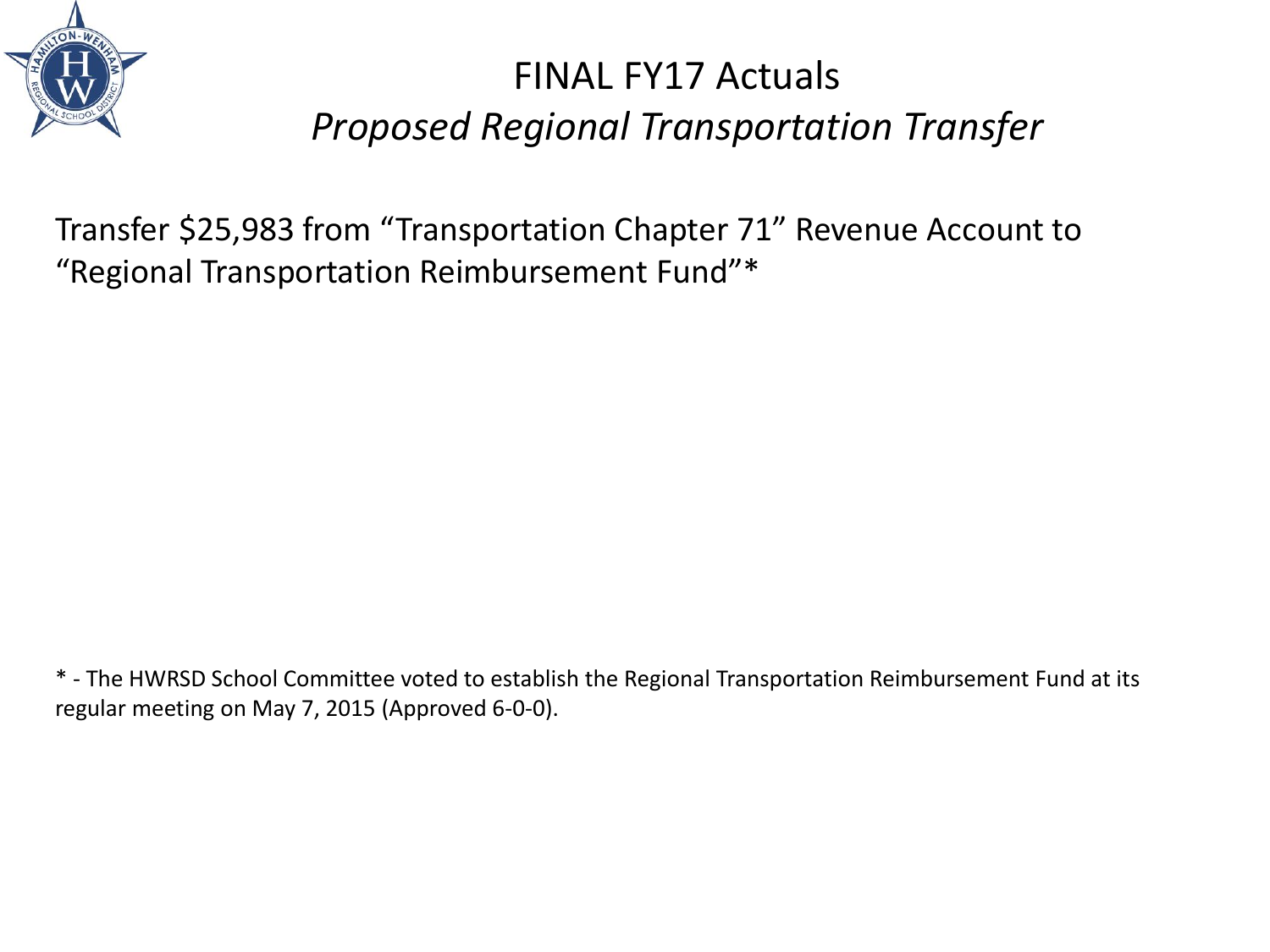

## FINAL FY17 Actuals *Proposed Regional Transportation Transfer*

Transfer \$25,983 from "Transportation Chapter 71" Revenue Account to "Regional Transportation Reimbursement Fund"\*

\* - The HWRSD School Committee voted to establish the Regional Transportation Reimbursement Fund at its regular meeting on May 7, 2015 (Approved 6-0-0).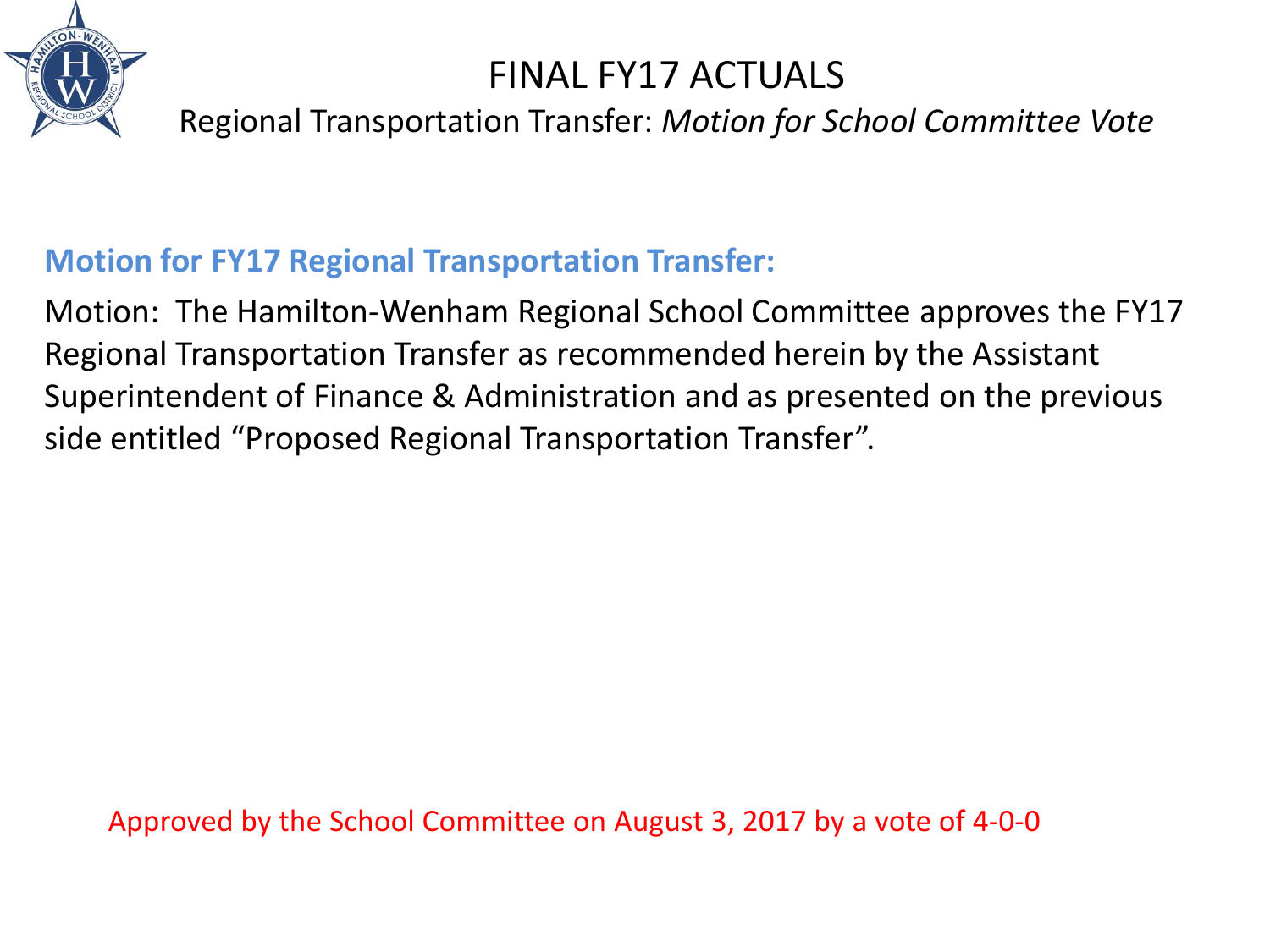

### FINAL FY17 ACTUALS

Regional Transportation Transfer: *Motion for School Committee Vote*

#### **Motion for FY17 Regional Transportation Transfer:**

Motion: The Hamilton-Wenham Regional School Committee approves the FY17 Regional Transportation Transfer as recommended herein by the Assistant Superintendent of Finance & Administration and as presented on the previous side entitled "Proposed Regional Transportation Transfer".

Approved by the School Committee on August 3, 2017 by a vote of 4-0-0